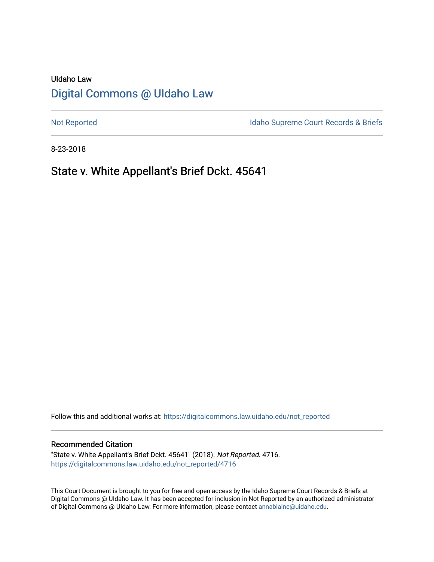# UIdaho Law [Digital Commons @ UIdaho Law](https://digitalcommons.law.uidaho.edu/)

[Not Reported](https://digitalcommons.law.uidaho.edu/not_reported) **Idaho Supreme Court Records & Briefs** 

8-23-2018

# State v. White Appellant's Brief Dckt. 45641

Follow this and additional works at: [https://digitalcommons.law.uidaho.edu/not\\_reported](https://digitalcommons.law.uidaho.edu/not_reported?utm_source=digitalcommons.law.uidaho.edu%2Fnot_reported%2F4716&utm_medium=PDF&utm_campaign=PDFCoverPages) 

#### Recommended Citation

"State v. White Appellant's Brief Dckt. 45641" (2018). Not Reported. 4716. [https://digitalcommons.law.uidaho.edu/not\\_reported/4716](https://digitalcommons.law.uidaho.edu/not_reported/4716?utm_source=digitalcommons.law.uidaho.edu%2Fnot_reported%2F4716&utm_medium=PDF&utm_campaign=PDFCoverPages)

This Court Document is brought to you for free and open access by the Idaho Supreme Court Records & Briefs at Digital Commons @ UIdaho Law. It has been accepted for inclusion in Not Reported by an authorized administrator of Digital Commons @ UIdaho Law. For more information, please contact [annablaine@uidaho.edu](mailto:annablaine@uidaho.edu).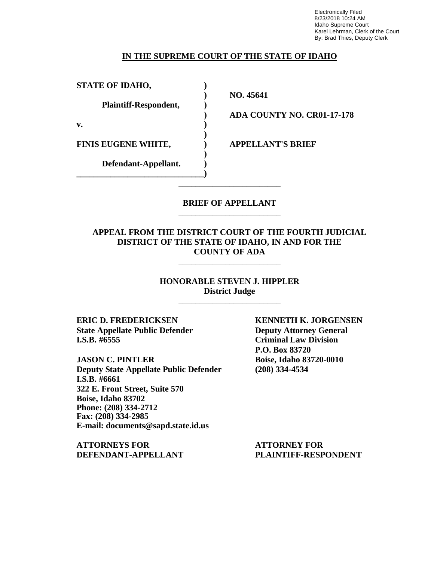Electronically Filed 8/23/2018 10:24 AM Idaho Supreme Court Karel Lehrman, Clerk of the Court By: Brad Thies, Deputy Clerk

### **IN THE SUPREME COURT OF THE STATE OF IDAHO**

| <b>STATE OF IDAHO,</b>       |  |
|------------------------------|--|
| <b>Plaintiff-Respondent,</b> |  |
| v.                           |  |
| <b>FINIS EUGENE WHITE,</b>   |  |
| Defendant-Appellant.         |  |

**) NO. 45641**

**) ADA COUNTY NO. CR01-17-178**

**FINIS EUGENE WHITE, ) APPELLANT'S BRIEF**

### **BRIEF OF APPELLANT** \_\_\_\_\_\_\_\_\_\_\_\_\_\_\_\_\_\_\_\_\_\_\_\_

\_\_\_\_\_\_\_\_\_\_\_\_\_\_\_\_\_\_\_\_\_\_\_\_

### **APPEAL FROM THE DISTRICT COURT OF THE FOURTH JUDICIAL DISTRICT OF THE STATE OF IDAHO, IN AND FOR THE COUNTY OF ADA**

\_\_\_\_\_\_\_\_\_\_\_\_\_\_\_\_\_\_\_\_\_\_\_\_

**HONORABLE STEVEN J. HIPPLER District Judge** \_\_\_\_\_\_\_\_\_\_\_\_\_\_\_\_\_\_\_\_\_\_\_\_

**ERIC D. FREDERICKSEN KENNETH K. JORGENSEN State Appellate Public Defender Deputy Attorney General I.S.B. #6555 Criminal Law Division**

**JASON C. PINTLER Boise, Idaho 83720-0010 Deputy State Appellate Public Defender (208) 334-4534 I.S.B. #6661 322 E. Front Street, Suite 570 Boise, Idaho 83702 Phone: (208) 334-2712 Fax: (208) 334-2985 E-mail: documents@sapd.state.id.us**

**ATTORNEYS FOR ATTORNEY FOR DEFENDANT-APPELLANT PLAINTIFF-RESPONDENT**

**P.O. Box 83720**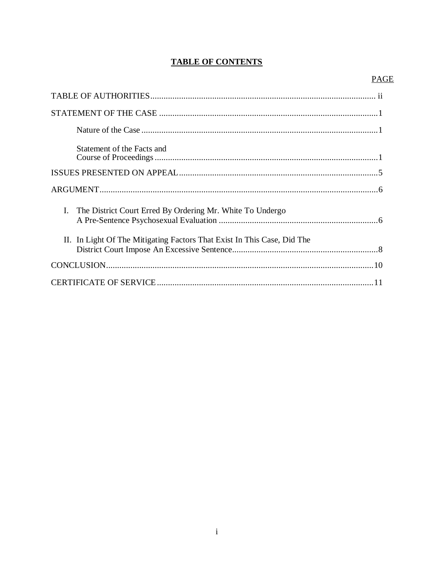## **TABLE OF CONTENTS**

### **PAGE**

| Statement of the Facts and                                              |  |
|-------------------------------------------------------------------------|--|
|                                                                         |  |
|                                                                         |  |
| I. The District Court Erred By Ordering Mr. White To Undergo            |  |
| II. In Light Of The Mitigating Factors That Exist In This Case, Did The |  |
|                                                                         |  |
|                                                                         |  |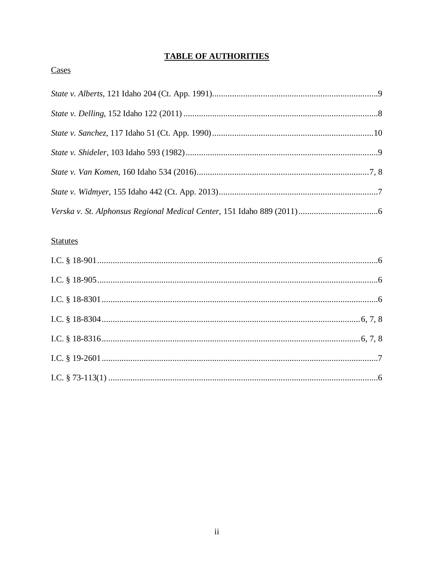# **TABLE OF AUTHORITIES**

## Cases

# **Statutes**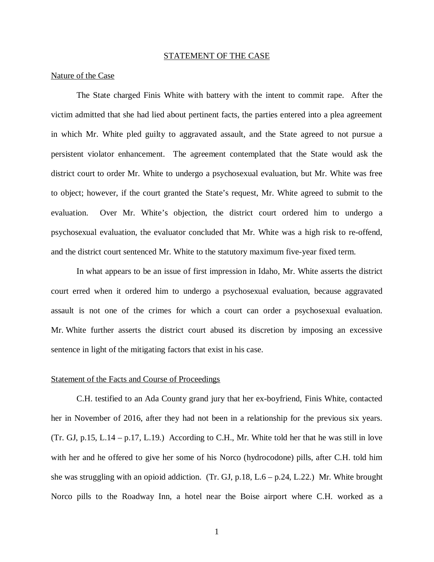#### STATEMENT OF THE CASE

#### Nature of the Case

The State charged Finis White with battery with the intent to commit rape. After the victim admitted that she had lied about pertinent facts, the parties entered into a plea agreement in which Mr. White pled guilty to aggravated assault, and the State agreed to not pursue a persistent violator enhancement. The agreement contemplated that the State would ask the district court to order Mr. White to undergo a psychosexual evaluation, but Mr. White was free to object; however, if the court granted the State's request, Mr. White agreed to submit to the evaluation. Over Mr. White's objection, the district court ordered him to undergo a psychosexual evaluation, the evaluator concluded that Mr. White was a high risk to re-offend, and the district court sentenced Mr. White to the statutory maximum five-year fixed term.

In what appears to be an issue of first impression in Idaho, Mr. White asserts the district court erred when it ordered him to undergo a psychosexual evaluation, because aggravated assault is not one of the crimes for which a court can order a psychosexual evaluation. Mr. White further asserts the district court abused its discretion by imposing an excessive sentence in light of the mitigating factors that exist in his case.

#### Statement of the Facts and Course of Proceedings

C.H. testified to an Ada County grand jury that her ex-boyfriend, Finis White, contacted her in November of 2016, after they had not been in a relationship for the previous six years. (Tr. GJ, p.15, L.14 – p.17, L.19.) According to C.H., Mr. White told her that he was still in love with her and he offered to give her some of his Norco (hydrocodone) pills, after C.H. told him she was struggling with an opioid addiction. (Tr. GJ, p.18, L.6 – p.24, L.22.) Mr. White brought Norco pills to the Roadway Inn, a hotel near the Boise airport where C.H. worked as a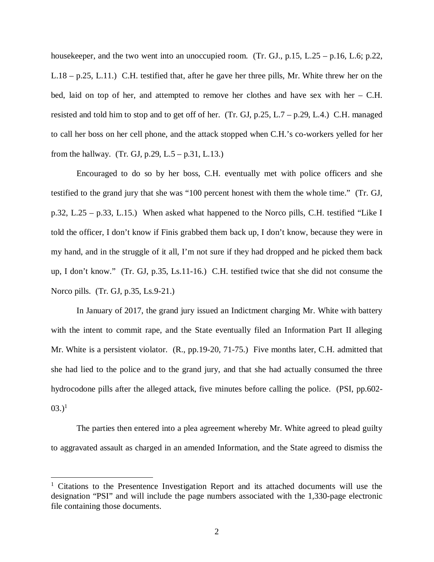housekeeper, and the two went into an unoccupied room. (Tr. GJ., p.15, L.25 – p.16, L.6; p.22, L.18 – p.25, L.11.) C.H. testified that, after he gave her three pills, Mr. White threw her on the bed, laid on top of her, and attempted to remove her clothes and have sex with her – C.H. resisted and told him to stop and to get off of her. (Tr. GJ,  $p.25$ , L.7 –  $p.29$ , L.4.) C.H. managed to call her boss on her cell phone, and the attack stopped when C.H.'s co-workers yelled for her from the hallway. (Tr. GJ, p.29, L.5 – p.31, L.13.)

Encouraged to do so by her boss, C.H. eventually met with police officers and she testified to the grand jury that she was "100 percent honest with them the whole time." (Tr. GJ, p.32, L.25 – p.33, L.15.) When asked what happened to the Norco pills, C.H. testified "Like I told the officer, I don't know if Finis grabbed them back up, I don't know, because they were in my hand, and in the struggle of it all, I'm not sure if they had dropped and he picked them back up, I don't know." (Tr. GJ, p.35, Ls.11-16.) C.H. testified twice that she did not consume the Norco pills. (Tr. GJ, p.35, Ls.9-21.)

In January of 2017, the grand jury issued an Indictment charging Mr. White with battery with the intent to commit rape, and the State eventually filed an Information Part II alleging Mr. White is a persistent violator. (R., pp.19-20, 71-75.) Five months later, C.H. admitted that she had lied to the police and to the grand jury, and that she had actually consumed the three hydrocodone pills after the alleged attack, five minutes before calling the police. (PSI, pp.602-  $(03.)^1$  $(03.)^1$ 

The parties then entered into a plea agreement whereby Mr. White agreed to plead guilty to aggravated assault as charged in an amended Information, and the State agreed to dismiss the

<span id="page-5-0"></span><sup>&</sup>lt;sup>1</sup> Citations to the Presentence Investigation Report and its attached documents will use the designation "PSI" and will include the page numbers associated with the 1,330-page electronic file containing those documents.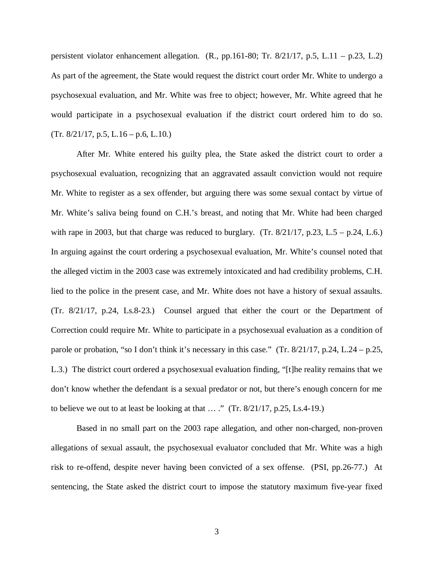persistent violator enhancement allegation. (R., pp.161-80; Tr. 8/21/17, p.5, L.11 – p.23, L.2) As part of the agreement, the State would request the district court order Mr. White to undergo a psychosexual evaluation, and Mr. White was free to object; however, Mr. White agreed that he would participate in a psychosexual evaluation if the district court ordered him to do so.  $(Tr. 8/21/17, p.5, L.16 - p.6, L.10.)$ 

After Mr. White entered his guilty plea, the State asked the district court to order a psychosexual evaluation, recognizing that an aggravated assault conviction would not require Mr. White to register as a sex offender, but arguing there was some sexual contact by virtue of Mr. White's saliva being found on C.H.'s breast, and noting that Mr. White had been charged with rape in 2003, but that charge was reduced to burglary. (Tr.  $8/21/17$ , p.23, L.5 – p.24, L.6.) In arguing against the court ordering a psychosexual evaluation, Mr. White's counsel noted that the alleged victim in the 2003 case was extremely intoxicated and had credibility problems, C.H. lied to the police in the present case, and Mr. White does not have a history of sexual assaults. (Tr. 8/21/17, p.24, Ls.8-23.) Counsel argued that either the court or the Department of Correction could require Mr. White to participate in a psychosexual evaluation as a condition of parole or probation, "so I don't think it's necessary in this case." (Tr. 8/21/17, p.24, L.24 – p.25, L.3.) The district court ordered a psychosexual evaluation finding, "[t]he reality remains that we don't know whether the defendant is a sexual predator or not, but there's enough concern for me to believe we out to at least be looking at that  $\ldots$  ." (Tr. 8/21/17, p.25, Ls.4-19.)

Based in no small part on the 2003 rape allegation, and other non-charged, non-proven allegations of sexual assault, the psychosexual evaluator concluded that Mr. White was a high risk to re-offend, despite never having been convicted of a sex offense. (PSI, pp.26-77.) At sentencing, the State asked the district court to impose the statutory maximum five-year fixed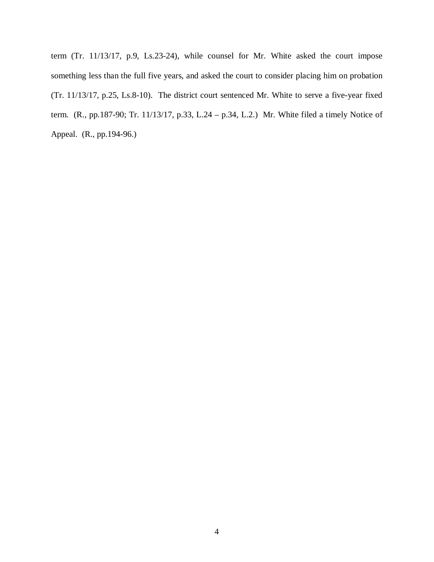term (Tr. 11/13/17, p.9, Ls.23-24), while counsel for Mr. White asked the court impose something less than the full five years, and asked the court to consider placing him on probation (Tr. 11/13/17, p.25, Ls.8-10). The district court sentenced Mr. White to serve a five-year fixed term. (R., pp.187-90; Tr. 11/13/17, p.33, L.24 – p.34, L.2.) Mr. White filed a timely Notice of Appeal. (R., pp.194-96.)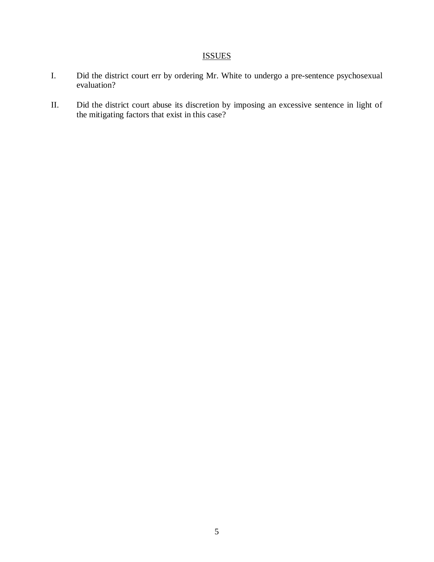# ISSUES

- I. Did the district court err by ordering Mr. White to undergo a pre-sentence psychosexual evaluation?
- II. Did the district court abuse its discretion by imposing an excessive sentence in light of the mitigating factors that exist in this case?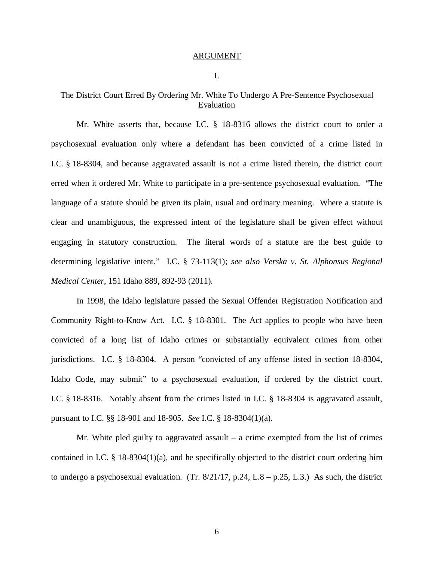#### ARGUMENT

#### I.

### The District Court Erred By Ordering Mr. White To Undergo A Pre-Sentence Psychosexual **Evaluation**

Mr. White asserts that, because I.C. § 18-8316 allows the district court to order a psychosexual evaluation only where a defendant has been convicted of a crime listed in I.C. § 18-8304, and because aggravated assault is not a crime listed therein, the district court erred when it ordered Mr. White to participate in a pre-sentence psychosexual evaluation. "The language of a statute should be given its plain, usual and ordinary meaning. Where a statute is clear and unambiguous, the expressed intent of the legislature shall be given effect without engaging in statutory construction. The literal words of a statute are the best guide to determining legislative intent." I.C. § 73-113(1); *see also Verska v. St. Alphonsus Regional Medical Center*, 151 Idaho 889, 892-93 (2011).

In 1998, the Idaho legislature passed the Sexual Offender Registration Notification and Community Right-to-Know Act. I.C. § 18-8301. The Act applies to people who have been convicted of a long list of Idaho crimes or substantially equivalent crimes from other jurisdictions. I.C. § 18-8304. A person "convicted of any offense listed in section 18-8304, Idaho Code, may submit" to a psychosexual evaluation, if ordered by the district court. I.C. § 18-8316. Notably absent from the crimes listed in I.C. § 18-8304 is aggravated assault, pursuant to I.C. §§ 18-901 and 18-905. *See* I.C. § 18-8304(1)(a).

Mr. White pled guilty to aggravated assault  $-$  a crime exempted from the list of crimes contained in I.C.  $\S$  18-8304(1)(a), and he specifically objected to the district court ordering him to undergo a psychosexual evaluation. (Tr.  $8/21/17$ , p.24, L.8 – p.25, L.3.) As such, the district

6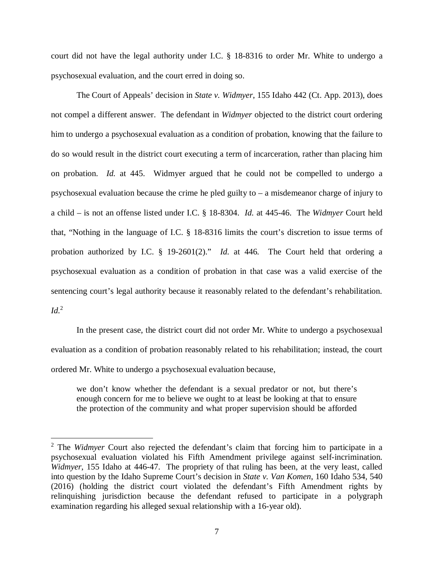court did not have the legal authority under I.C. § 18-8316 to order Mr. White to undergo a psychosexual evaluation, and the court erred in doing so.

The Court of Appeals' decision in *State v. Widmyer*, 155 Idaho 442 (Ct. App. 2013), does not compel a different answer. The defendant in *Widmyer* objected to the district court ordering him to undergo a psychosexual evaluation as a condition of probation, knowing that the failure to do so would result in the district court executing a term of incarceration, rather than placing him on probation. *Id.* at 445. Widmyer argued that he could not be compelled to undergo a psychosexual evaluation because the crime he pled guilty to – a misdemeanor charge of injury to a child – is not an offense listed under I.C. § 18-8304. *Id.* at 445-46. The *Widmyer* Court held that, "Nothing in the language of I.C. § 18-8316 limits the court's discretion to issue terms of probation authorized by I.C. § 19-2601(2)." *Id.* at 446. The Court held that ordering a psychosexual evaluation as a condition of probation in that case was a valid exercise of the sentencing court's legal authority because it reasonably related to the defendant's rehabilitation.  $Id<sup>2</sup>$  $Id<sup>2</sup>$  $Id<sup>2</sup>$ 

In the present case, the district court did not order Mr. White to undergo a psychosexual evaluation as a condition of probation reasonably related to his rehabilitation; instead, the court ordered Mr. White to undergo a psychosexual evaluation because,

we don't know whether the defendant is a sexual predator or not, but there's enough concern for me to believe we ought to at least be looking at that to ensure the protection of the community and what proper supervision should be afforded

<span id="page-10-0"></span><sup>&</sup>lt;sup>2</sup> The *Widmyer* Court also rejected the defendant's claim that forcing him to participate in a psychosexual evaluation violated his Fifth Amendment privilege against self-incrimination. *Widmyer*, 155 Idaho at 446-47. The propriety of that ruling has been, at the very least, called into question by the Idaho Supreme Court's decision in *State v. Van Komen*, 160 Idaho 534, 540 (2016) (holding the district court violated the defendant's Fifth Amendment rights by relinquishing jurisdiction because the defendant refused to participate in a polygraph examination regarding his alleged sexual relationship with a 16-year old).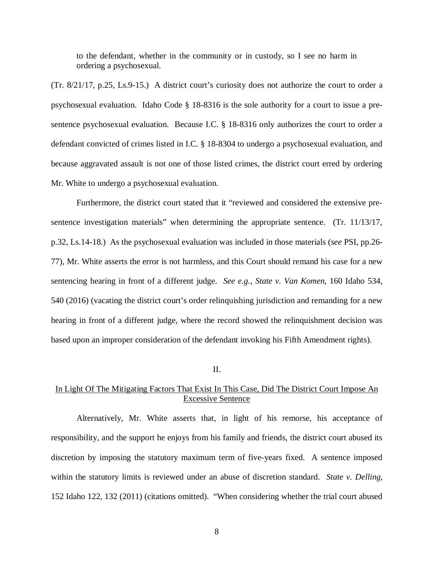to the defendant, whether in the community or in custody, so I see no harm in ordering a psychosexual.

(Tr. 8/21/17, p.25, Ls.9-15.) A district court's curiosity does not authorize the court to order a psychosexual evaluation. Idaho Code § 18-8316 is the sole authority for a court to issue a presentence psychosexual evaluation. Because I.C. § 18-8316 only authorizes the court to order a defendant convicted of crimes listed in I.C. § 18-8304 to undergo a psychosexual evaluation, and because aggravated assault is not one of those listed crimes, the district court erred by ordering Mr. White to undergo a psychosexual evaluation.

Furthermore, the district court stated that it "reviewed and considered the extensive presentence investigation materials" when determining the appropriate sentence. (Tr. 11/13/17, p.32, Ls.14-18.) As the psychosexual evaluation was included in those materials (*see* PSI, pp.26- 77), Mr. White asserts the error is not harmless, and this Court should remand his case for a new sentencing hearing in front of a different judge. *See e.g.*, *State v. Van Komen*, 160 Idaho 534, 540 (2016) (vacating the district court's order relinquishing jurisdiction and remanding for a new hearing in front of a different judge, where the record showed the relinquishment decision was based upon an improper consideration of the defendant invoking his Fifth Amendment rights).

#### II.

### In Light Of The Mitigating Factors That Exist In This Case, Did The District Court Impose An Excessive Sentence

Alternatively, Mr. White asserts that, in light of his remorse, his acceptance of responsibility, and the support he enjoys from his family and friends, the district court abused its discretion by imposing the statutory maximum term of five-years fixed. A sentence imposed within the statutory limits is reviewed under an abuse of discretion standard. *State v. Delling*, 152 Idaho 122, 132 (2011) (citations omitted). "When considering whether the trial court abused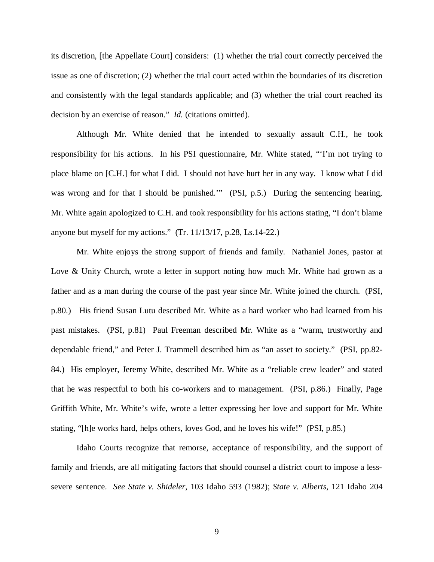its discretion, [the Appellate Court] considers: (1) whether the trial court correctly perceived the issue as one of discretion; (2) whether the trial court acted within the boundaries of its discretion and consistently with the legal standards applicable; and (3) whether the trial court reached its decision by an exercise of reason." *Id.* (citations omitted).

Although Mr. White denied that he intended to sexually assault C.H., he took responsibility for his actions. In his PSI questionnaire, Mr. White stated, "'I'm not trying to place blame on [C.H.] for what I did. I should not have hurt her in any way. I know what I did was wrong and for that I should be punished.'" (PSI, p.5.) During the sentencing hearing, Mr. White again apologized to C.H. and took responsibility for his actions stating, "I don't blame anyone but myself for my actions." (Tr. 11/13/17, p.28, Ls.14-22.)

Mr. White enjoys the strong support of friends and family. Nathaniel Jones, pastor at Love & Unity Church, wrote a letter in support noting how much Mr. White had grown as a father and as a man during the course of the past year since Mr. White joined the church. (PSI, p.80.) His friend Susan Lutu described Mr. White as a hard worker who had learned from his past mistakes. (PSI, p.81) Paul Freeman described Mr. White as a "warm, trustworthy and dependable friend," and Peter J. Trammell described him as "an asset to society." (PSI, pp.82- 84.) His employer, Jeremy White, described Mr. White as a "reliable crew leader" and stated that he was respectful to both his co-workers and to management. (PSI, p.86.) Finally, Page Griffith White, Mr. White's wife, wrote a letter expressing her love and support for Mr. White stating, "[h]e works hard, helps others, loves God, and he loves his wife!" (PSI, p.85.)

Idaho Courts recognize that remorse, acceptance of responsibility, and the support of family and friends, are all mitigating factors that should counsel a district court to impose a lesssevere sentence. *See State v. Shideler*, 103 Idaho 593 (1982); *State v. Alberts*, 121 Idaho 204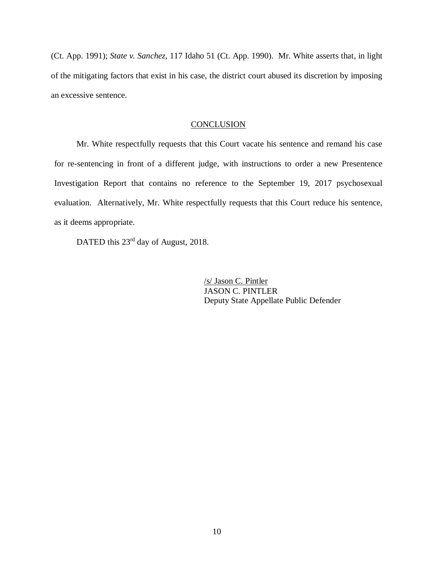(Ct. App. 1991); *State v. Sanchez*, 117 Idaho 51 (Ct. App. 1990). Mr. White asserts that, in light of the mitigating factors that exist in his case, the district court abused its discretion by imposing an excessive sentence.

#### **CONCLUSION**

Mr. White respectfully requests that this Court vacate his sentence and remand his case for re-sentencing in front of a different judge, with instructions to order a new Presentence Investigation Report that contains no reference to the September 19, 2017 psychosexual evaluation. Alternatively, Mr. White respectfully requests that this Court reduce his sentence, as it deems appropriate.

DATED this 23<sup>rd</sup> day of August, 2018.

/s/ Jason C. Pintler JASON C. PINTLER Deputy State Appellate Public Defender